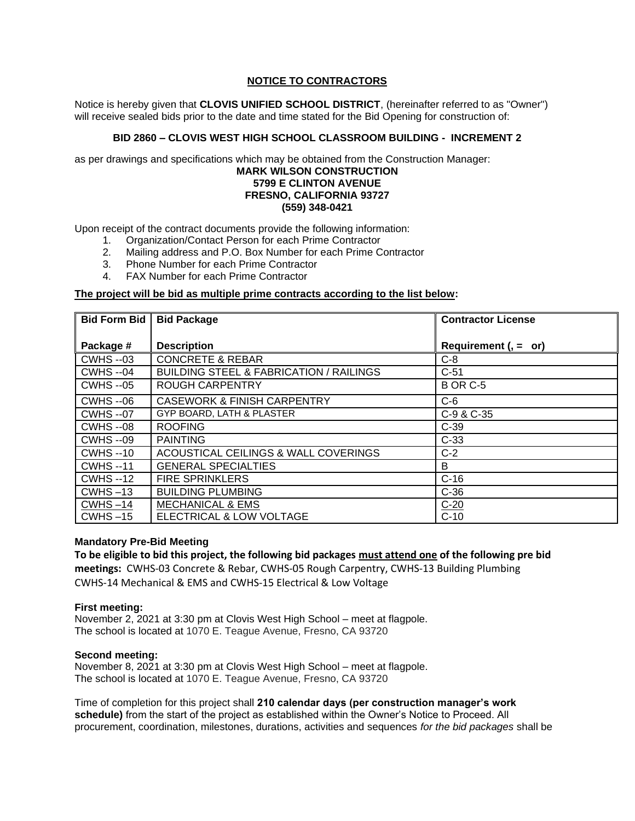# **NOTICE TO CONTRACTORS**

Notice is hereby given that **CLOVIS UNIFIED SCHOOL DISTRICT**, (hereinafter referred to as "Owner") will receive sealed bids prior to the date and time stated for the Bid Opening for construction of:

## **BID 2860 – CLOVIS WEST HIGH SCHOOL CLASSROOM BUILDING - INCREMENT 2**

as per drawings and specifications which may be obtained from the Construction Manager:

### **MARK WILSON CONSTRUCTION 5799 E CLINTON AVENUE FRESNO, CALIFORNIA 93727 (559) 348-0421**

Upon receipt of the contract documents provide the following information:

- 1. Organization/Contact Person for each Prime Contractor
- 2. Mailing address and P.O. Box Number for each Prime Contractor
- 3. Phone Number for each Prime Contractor
- 4. FAX Number for each Prime Contractor

### **The project will be bid as multiple prime contracts according to the list below:**

| <b>Bid Form Bid</b> | <b>Bid Package</b>                                 | <b>Contractor License</b> |
|---------------------|----------------------------------------------------|---------------------------|
|                     |                                                    |                           |
| Package #           | <b>Description</b>                                 | Requirement $($ , = or)   |
| <b>CWHS --03</b>    | <b>CONCRETE &amp; REBAR</b>                        | $C-8$                     |
| <b>CWHS --04</b>    | <b>BUILDING STEEL &amp; FABRICATION / RAILINGS</b> | $C-51$                    |
| <b>CWHS --05</b>    | <b>ROUGH CARPENTRY</b>                             | <b>B OR C-5</b>           |
| <b>CWHS --06</b>    | <b>CASEWORK &amp; FINISH CARPENTRY</b>             | $C-6$                     |
| <b>CWHS --07</b>    | GYP BOARD, LATH & PLASTER                          | C-9 & C-35                |
| <b>CWHS --08</b>    | <b>ROOFING</b>                                     | $C-39$                    |
| <b>CWHS --09</b>    | <b>PAINTING</b>                                    | $C-33$                    |
| <b>CWHS</b> --10    | ACOUSTICAL CEILINGS & WALL COVERINGS               | $C-2$                     |
| <b>CWHS--11</b>     | <b>GENERAL SPECIALTIES</b>                         | B                         |
| <b>CWHS</b> --12    | <b>FIRE SPRINKLERS</b>                             | $C-16$                    |
| $CWHS - 13$         | <b>BUILDING PLUMBING</b>                           | $C-36$                    |
| $CWHS - 14$         | <b>MECHANICAL &amp; EMS</b>                        | $\frac{C-20}{C-10}$       |
| $CWHS - 15$         | ELECTRICAL & LOW VOLTAGE                           |                           |

### **Mandatory Pre-Bid Meeting**

**To be eligible to bid this project, the following bid packages must attend one of the following pre bid meetings:** CWHS-03 Concrete & Rebar, CWHS-05 Rough Carpentry, CWHS-13 Building Plumbing CWHS-14 Mechanical & EMS and CWHS-15 Electrical & Low Voltage

#### **First meeting:**

November 2, 2021 at 3:30 pm at Clovis West High School – meet at flagpole. The school is located at 1070 E. Teague Avenue, Fresno, CA 93720

#### **Second meeting:**

November 8, 2021 at 3:30 pm at Clovis West High School – meet at flagpole. The school is located at 1070 E. Teague Avenue, Fresno, CA 93720

Time of completion for this project shall **210 calendar days (per construction manager's work schedule)** from the start of the project as established within the Owner's Notice to Proceed. All procurement, coordination, milestones, durations, activities and sequences *for the bid packages* shall be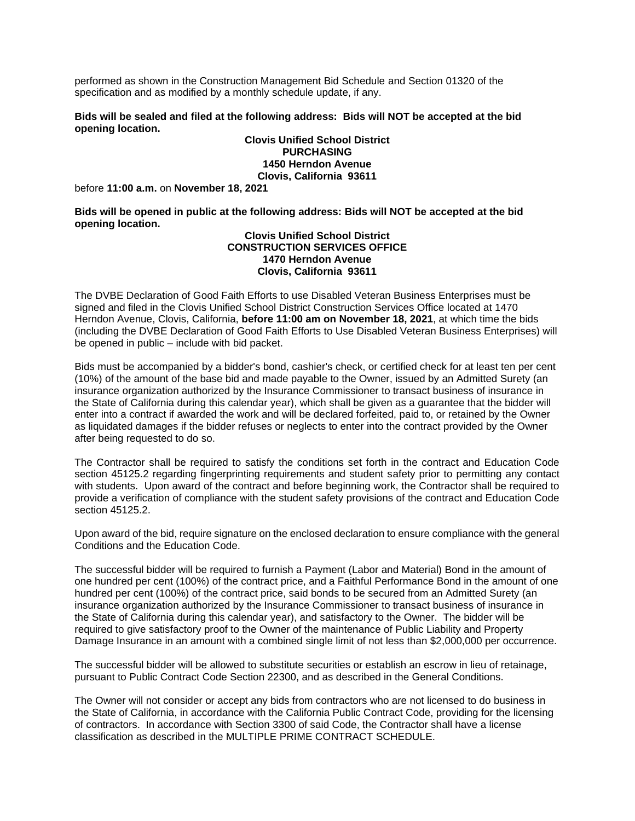performed as shown in the Construction Management Bid Schedule and Section 01320 of the specification and as modified by a monthly schedule update, if any.

### **Bids will be sealed and filed at the following address: Bids will NOT be accepted at the bid opening location.**

**Clovis Unified School District PURCHASING 1450 Herndon Avenue Clovis, California 93611**

before **11:00 a.m.** on **November 18, 2021** 

**Bids will be opened in public at the following address: Bids will NOT be accepted at the bid opening location.**

#### **Clovis Unified School District CONSTRUCTION SERVICES OFFICE 1470 Herndon Avenue Clovis, California 93611**

The DVBE Declaration of Good Faith Efforts to use Disabled Veteran Business Enterprises must be signed and filed in the Clovis Unified School District Construction Services Office located at 1470 Herndon Avenue, Clovis, California, **before 11:00 am on November 18, 2021**, at which time the bids (including the DVBE Declaration of Good Faith Efforts to Use Disabled Veteran Business Enterprises) will be opened in public – include with bid packet.

Bids must be accompanied by a bidder's bond, cashier's check, or certified check for at least ten per cent (10%) of the amount of the base bid and made payable to the Owner, issued by an Admitted Surety (an insurance organization authorized by the Insurance Commissioner to transact business of insurance in the State of California during this calendar year), which shall be given as a guarantee that the bidder will enter into a contract if awarded the work and will be declared forfeited, paid to, or retained by the Owner as liquidated damages if the bidder refuses or neglects to enter into the contract provided by the Owner after being requested to do so.

The Contractor shall be required to satisfy the conditions set forth in the contract and Education Code section 45125.2 regarding fingerprinting requirements and student safety prior to permitting any contact with students. Upon award of the contract and before beginning work, the Contractor shall be required to provide a verification of compliance with the student safety provisions of the contract and Education Code section 45125.2.

Upon award of the bid, require signature on the enclosed declaration to ensure compliance with the general Conditions and the Education Code.

The successful bidder will be required to furnish a Payment (Labor and Material) Bond in the amount of one hundred per cent (100%) of the contract price, and a Faithful Performance Bond in the amount of one hundred per cent (100%) of the contract price, said bonds to be secured from an Admitted Surety (an insurance organization authorized by the Insurance Commissioner to transact business of insurance in the State of California during this calendar year), and satisfactory to the Owner. The bidder will be required to give satisfactory proof to the Owner of the maintenance of Public Liability and Property Damage Insurance in an amount with a combined single limit of not less than \$2,000,000 per occurrence.

The successful bidder will be allowed to substitute securities or establish an escrow in lieu of retainage, pursuant to Public Contract Code Section 22300, and as described in the General Conditions.

The Owner will not consider or accept any bids from contractors who are not licensed to do business in the State of California, in accordance with the California Public Contract Code, providing for the licensing of contractors. In accordance with Section 3300 of said Code, the Contractor shall have a license classification as described in the MULTIPLE PRIME CONTRACT SCHEDULE.